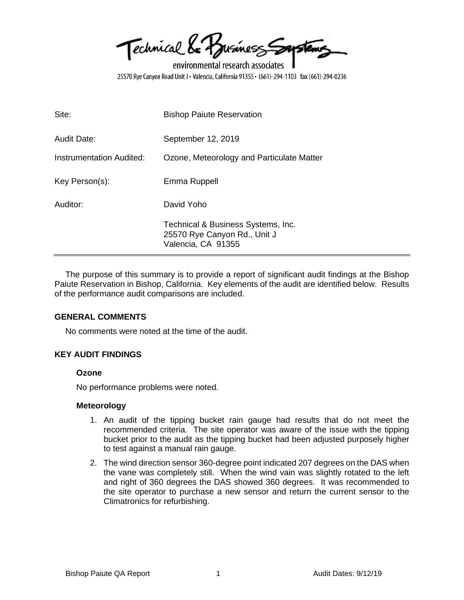Technical Le Busines Soustems

environmental research associates 25570 Rye Canyon Road Unit J · Valencia, California 91355 · (661)-294-1103 fax (661)-294-0236

| Site:                    | <b>Bishop Paiute Reservation</b>                                                         |
|--------------------------|------------------------------------------------------------------------------------------|
| <b>Audit Date:</b>       | September 12, 2019                                                                       |
| Instrumentation Audited: | Ozone, Meteorology and Particulate Matter                                                |
| Key Person(s):           | Emma Ruppell                                                                             |
| Auditor:                 | David Yoho                                                                               |
|                          | Technical & Business Systems, Inc.<br>25570 Rye Canyon Rd., Unit J<br>Valencia, CA 91355 |

The purpose of this summary is to provide a report of significant audit findings at the Bishop Paiute Reservation in Bishop, California. Key elements of the audit are identified below. Results of the performance audit comparisons are included.

#### **GENERAL COMMENTS**

No comments were noted at the time of the audit.

#### **KEY AUDIT FINDINGS**

#### **Ozone**

No performance problems were noted.

#### **Meteorology**

- 1. An audit of the tipping bucket rain gauge had results that do not meet the recommended criteria. The site operator was aware of the issue with the tipping bucket prior to the audit as the tipping bucket had been adjusted purposely higher to test against a manual rain gauge.
- 2. The wind direction sensor 360-degree point indicated 207 degrees on the DAS when the vane was completely still. When the wind vain was slightly rotated to the left and right of 360 degrees the DAS showed 360 degrees. It was recommended to the site operator to purchase a new sensor and return the current sensor to the Climatronics for refurbishing.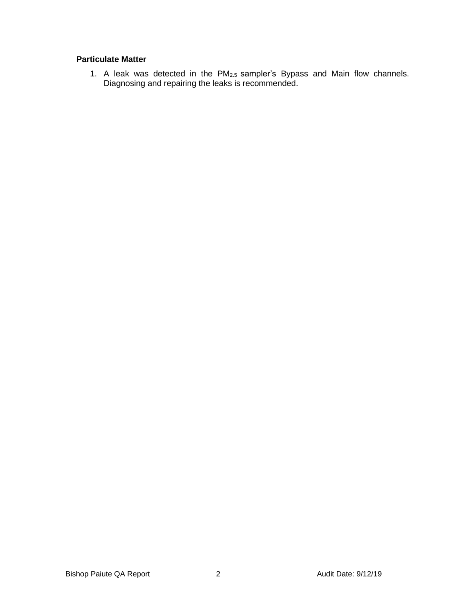# **Particulate Matter**

1. A leak was detected in the  $PM<sub>2.5</sub>$  sampler's Bypass and Main flow channels. Diagnosing and repairing the leaks is recommended.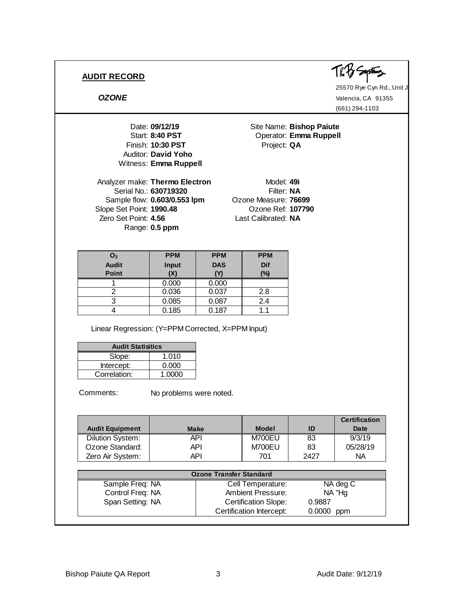

25570 Rye Cyn Rd., Unit J *OZONE* Valencia, CA 91355 (661) 294-1103

Date: **09/12/19** Site Name: **Bishop Paiute**<br>
Start: 8:40 PST **Start:** Operator: **Emma Ruppell** Date: **09/12/19**<br>
Start: **8:40 PST**<br>
Finish: **10:30 PST**<br>
Project: **QA**<br>
Nuditor: David Yoho Auditor: **David Yoho** Witness: **Emma Ruppell**

Analyzer make: Thermo Electron Model: 49i Serial No.: **630719320** Filter: NA Sample flow: **0.603/0.553 lpm** Ozone Measure: **76699** Slope Set Point: **1990.48** Ozone Ref: **107790** Zero Set Point: **4.56** Last Calibrated: **NA** Range: **0.5 ppm**

**Operator: Emma Ruppell** 

| O <sub>3</sub> | <b>PPM</b>   | <b>PPM</b> | <b>PPM</b> |
|----------------|--------------|------------|------------|
| <b>Audit</b>   | <b>Input</b> | <b>DAS</b> | <b>Dif</b> |
| <b>Point</b>   | (X)          | M          | (%)        |
|                | 0.000        | 0.000      |            |
|                | 0.036        | 0.037      | 2.8        |
|                | 0.085        | 0.087      | 2.4        |
|                | 0.185        | 0.187      |            |

Linear Regression: (Y=PPM Corrected, X=PPM Input)

| <b>Audit Statisitics</b> |        |  |
|--------------------------|--------|--|
| Slope:                   | 1.010  |  |
| Intercept:               | 0.000  |  |
| Correlation:             | 1.0000 |  |

Comments:

No problems were noted.

|                         |             |                                |        | <b>Certification</b> |
|-------------------------|-------------|--------------------------------|--------|----------------------|
| <b>Audit Equipment</b>  | <b>Make</b> | <b>Model</b>                   | ID     | Date                 |
| <b>Dilution System:</b> | <b>API</b>  | M700EU                         | 83     | 9/3/19               |
| Ozone Standard:         | <b>API</b>  | M700EU                         | 83     | 05/28/19             |
| Zero Air System:        | <b>API</b>  | 701                            | 2427   | NA.                  |
|                         |             |                                |        |                      |
|                         |             | <b>Ozone Transfer Standard</b> |        |                      |
| Sample Freq: NA         |             | Cell Temperature:              |        | NA deg C             |
| Control Freq: NA        |             | <b>Ambient Pressure:</b>       |        | NA "Hg               |
| Span Setting: NA        |             | <b>Certification Slope:</b>    | 0.9887 |                      |
|                         |             | Certification Intercept:       | 0.0000 | ppm                  |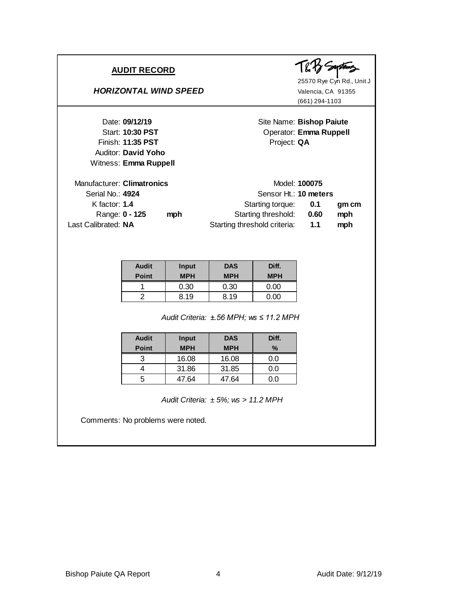Auditor: **David Yoho** Witness: **Emma Ruppell**

#### **HORIZONTAL WIND SPEED** Valencia, CA 91355



25570 Rye Cyn Rd., Unit J (661) 294-1103

Date: 09/12/19 **Site Name: Bishop Paiute** Start: **10:30 PST** Operator: **Emma Ruppell** Finish: **11:35 PST** Project: QA

| gm cm |
|-------|
| mph   |
| mph   |
|       |

| <b>Audit</b><br><b>Point</b> | Input<br><b>MPH</b> | <b>DAS</b><br><b>MPH</b> | Diff.<br><b>MPH</b> |
|------------------------------|---------------------|--------------------------|---------------------|
|                              | 0.30                | 0.30                     | 0.00                |
|                              | 8.19                | 8.19                     | ი იი                |

*±.56 MPH; ws ≤ 11.2 MPH Audit Criteria:*

| <b>Audit</b><br><b>Point</b> | Input<br><b>MPH</b> | <b>DAS</b><br><b>MPH</b> | Diff.<br>% |
|------------------------------|---------------------|--------------------------|------------|
|                              | 16.08               | 16.08                    | 0.0        |
|                              | 31.86               | 31.85                    | 0.0        |
| :                            | 47.64               | 47.64                    | 0.0        |

*± 5%; ws > 11.2 MPH Audit Criteria:*

Comments: No problems were noted.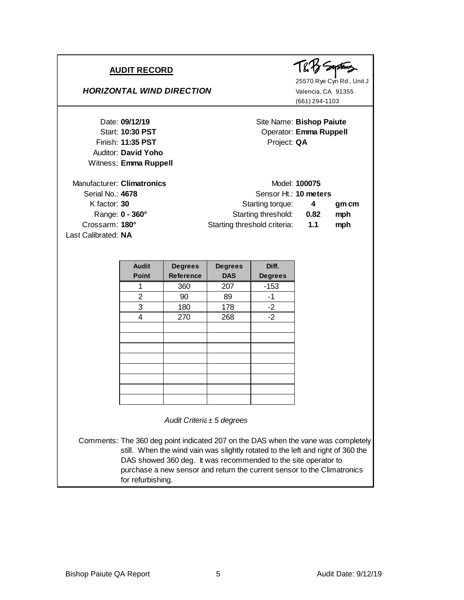Auditor: **David Yoho** Witness: **Emma Ruppell**

#### *HORIZONTAL WIND DIRECTION* Valencia, CA 91355

25570 Rye Cyn Rd., Unit J (661) 294-1103

Date: 09/12/19 **Site Name: Bishop Paiute** Start: **10:30 PST** Operator: **Emma Ruppell** Date: **09/12/19**<br>
Start: **10:30 PST**<br>
Finish: **11:35 PST**<br>
Project: **QA**<br>
Project: **QA** 

| Manufacturer: Climatronics | Model: 100075                |      |       |
|----------------------------|------------------------------|------|-------|
| Serial No.: 4678           | Sensor Ht.: 10 meters        |      |       |
| K factor: $30$             | Starting torque:             | -4   | gm cm |
| Range: 0 - 360°            | Starting threshold:          | 0.82 | mph   |
| Crossarm: 180°             | Starting threshold criteria: | 1.1  | mph   |
| Last Calibrated: NA        |                              |      |       |

| <b>Audit</b>   | <b>Degrees</b>   | <b>Degrees</b> | Diff.          |
|----------------|------------------|----------------|----------------|
| <b>Point</b>   | <b>Reference</b> | <b>DAS</b>     | <b>Degrees</b> |
|                | 360              | 207            | $-153$         |
| $\overline{2}$ | 90               | 89             | -1             |
| 3              | 180              | 178            | $-2$           |
| 4              | 270              | 268            | $-2$           |
|                |                  |                |                |
|                |                  |                |                |
|                |                  |                |                |
|                |                  |                |                |
|                |                  |                |                |
|                |                  |                |                |
|                |                  |                |                |
|                |                  |                |                |

*Audit Criteria: ± 5 degrees*

Comments: The 360 deg point indicated 207 on the DAS when the vane was completely still. When the wind vain was slightly rotated to the left and right of 360 the DAS showed 360 deg. It was recommended to the site operator to purchase a new sensor and return the current sensor to the Climatronics for refurbishing.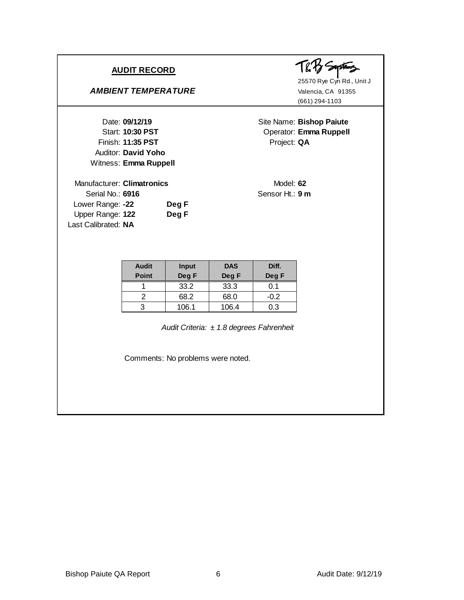### *AMBIENT TEMPERATURE* Valencia, CA 91355

Auditor: **David Yoho** Witness: **Emma Ruppell**

Lower Range: -22 **Deg F** Upper Range: **122 Deg F**

Last Calibrated: **NA**

Soustens てくろ

25570 Rye Cyn Rd., Unit J (661) 294-1103

Date: **09/12/19** Site Name: **Bishop Paiute** Start: **10:30 PST** Operator: **Emma Ruppell** Finish: **11:35 PST** Project: QA

Manufacturer: **Climatronics** Model: 62 Serial No.: **6916** Sensor Ht.: **9 m**

| <b>Audit</b> | <b>Input</b> | <b>DAS</b> | Diff.  |
|--------------|--------------|------------|--------|
| <b>Point</b> | Deg F        | Deg F      | Deg F  |
|              | 33.2         | 33.3       |        |
|              | 68.2         | 68.0       | $-0.2$ |
| 2            | 106.1        | 106.4      | 0.3    |

*± 1.8 degrees Fahrenheit Audit Criteria:*

Comments: No problems were noted.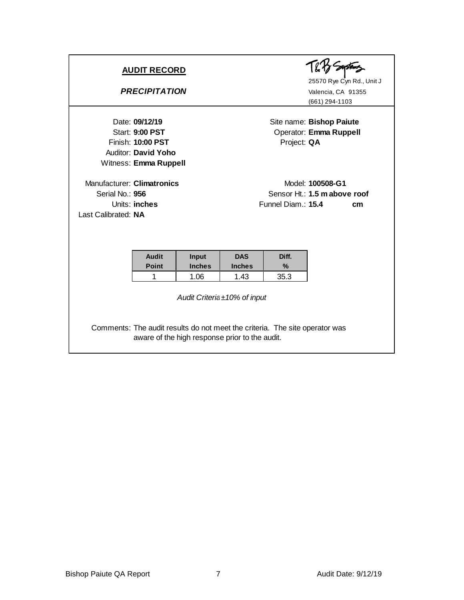Finish: **10:00 PST** Project: QA Auditor: **David Yoho** Witness: **Emma Ruppell**

Manufacturer: Climatronics Model: 100508-G1 Last Calibrated: **NA**



25570 Rye Cyn Rd., Unit J *PRECIPITATION* Valencia, CA 91355 (661) 294-1103

Date: **09/12/19** Site name: **Bishop Paiute** Start: 9:00 PST **Operator:** Emma Ruppell

Serial No.: **956** Sensor Ht.: **1.5 m above roof** Units: **inches** CM<sub>p</sub> CM<sub>p</sub> CM<sub>p</sub> CM<sub>p</sub> CM<sub>p</sub> CM<sub>p</sub> CM<sub>p</sub> CM<sub>p</sub> CM<sub>p</sub> CM<sub>p</sub> CM<sub>p</sub> CM<sub>p</sub> CM<sub>p</sub> CM<sub>p</sub> CM<sub>p</sub> CM<sub>p</sub> CM<sub>p</sub> CM<sub>p</sub> CM<sub>p</sub> CM<sub>p</sub> CM<sub>p</sub> CM<sub>p</sub> CM<sub>p</sub> CM<sub>p</sub> CM<sub>p</sub> CM<sub>p</sub> CM<sub>p</sub> CM<sub>p</sub> CM<sub>p</sub> CM<sub>p</sub> CM<sub>p</sub> CM<sub>p</sub> CM<sub>p</sub> CM<sub>p</sub> CM

| <b>Audit</b><br><b>Point</b> | Input<br><b>Inches</b> | <b>DAS</b><br><b>Inches</b> | Diff.<br>$\%$ |
|------------------------------|------------------------|-----------------------------|---------------|
|                              |                        |                             |               |
|                              | .06                    | 1.43                        | 35.3          |

*Audit Criteria: ±10% of input*

Comments: The audit results do not meet the criteria. The site operator was aware of the high response prior to the audit.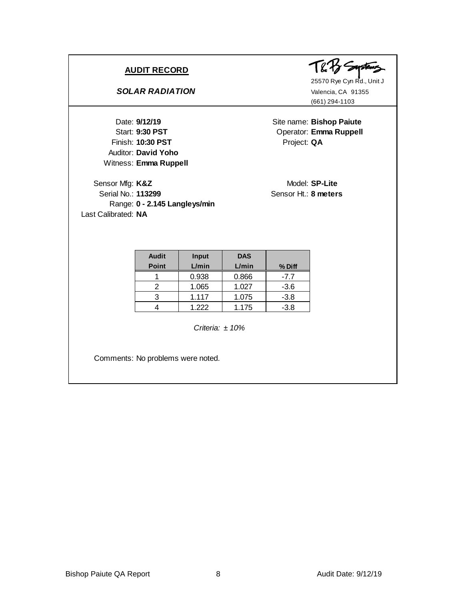# *SOLAR RADIATION* Valencia, CA 91355

Finish: **10:30 PST** Project: QA Auditor: **David Yoho** Witness: **Emma Ruppell**

Sensor Mfg: K&Z Model: SP-Lite Serial No.: **113299** Sensor Ht.: **8 meters** Range: **0 - 2.145 Langleys/min** Last Calibrated: **NA**



25570 Rye Cyn Rd., Unit J (661) 294-1103

Date: 9/12/19 **Site name: Bishop Paiute** Start: 9:30 PST Operator: Emma Ruppell

| <b>Audit</b><br><b>Point</b> | Input<br>L/min | <b>DAS</b><br>L/min | % Diff |
|------------------------------|----------------|---------------------|--------|
|                              | 0.938          | 0.866               | -7.7   |
|                              | 1.065          | 1.027               | $-3.6$ |
|                              | 1.117          | 1.075               | $-3.8$ |
|                              | 1.222          | 1.175               | $-3.8$ |

*Criteria: ± 10%*

Comments: No problems were noted.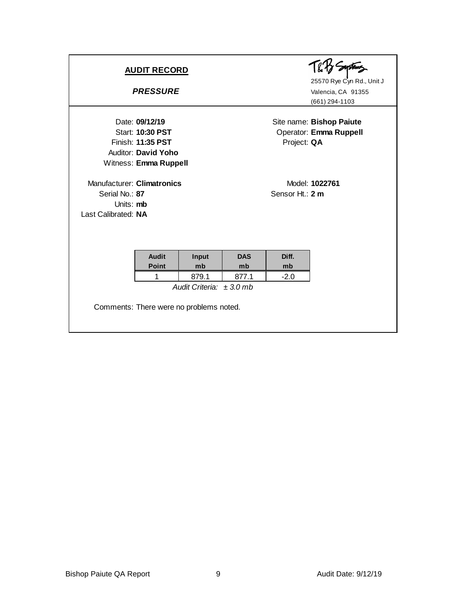| <b>AUDIT RECORD</b><br><b>PRESSURE</b>                                           |                                                |                              |             |                 | 25570 Rye Cyn Rd., Unit J<br>Valencia, CA 91355<br>(661) 294-1103 |
|----------------------------------------------------------------------------------|------------------------------------------------|------------------------------|-------------|-----------------|-------------------------------------------------------------------|
| Date: 09/12/19<br>Finish: 11:35 PST<br>Witness: Emma Ruppell                     | <b>Start: 10:30 PST</b><br>Auditor: David Yoho |                              |             | Project: QA     | Site name: Bishop Paiute<br>Operator: Emma Ruppell                |
| Manufacturer: Climatronics<br>Serial No.: 87<br>Units: mb<br>Last Calibrated: NA |                                                |                              |             | Sensor Ht.: 2 m | Model: 1022761                                                    |
|                                                                                  | <b>Audit</b>                                   | Input                        | <b>DAS</b>  | Diff.           |                                                                   |
|                                                                                  | <b>Point</b><br>1                              | mb<br>879.1                  | mb<br>877.1 | mb<br>$-2.0$    |                                                                   |
| Comments: There were no problems noted.                                          |                                                | Audit Criteria: $\pm 3.0$ mb |             |                 |                                                                   |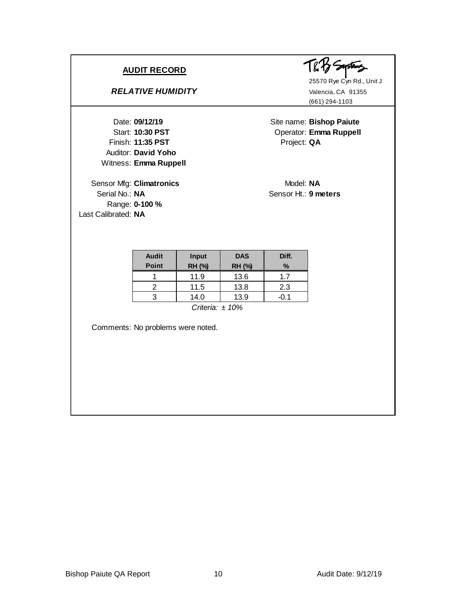#### **RELATIVE HUMIDITY** Valencia, CA 91355

Finish: **11:35 PST** Project: QA Auditor: **David Yoho** Witness: **Emma Ruppell 09/12/19**

Sensor Mfg: **Climatronics** Model: NA Serial No.: **NA** Sensor Ht.: **9 meters** Range: **0-100 %** Last Calibrated: **NA**



25570 Rye Cyn Rd., Unit J (661) 294-1103

Site name: Bishop Paiute Start: **10:30 PST** Operator: **Emma Ruppell** 

| <b>Audit</b><br><b>Point</b> | <b>Input</b><br>RH (%) | <b>DAS</b><br><b>RH(%)</b> | Diff.<br>% |  |  |
|------------------------------|------------------------|----------------------------|------------|--|--|
|                              | 11.9                   | 13.6                       | 17         |  |  |
|                              | 11.5                   | 13.8                       | 2.3        |  |  |
|                              | 14.0                   | 13.9                       |            |  |  |
| Critovio: 100/               |                        |                            |            |  |  |

*Criteria: ± 10%*

Comments: No problems were noted.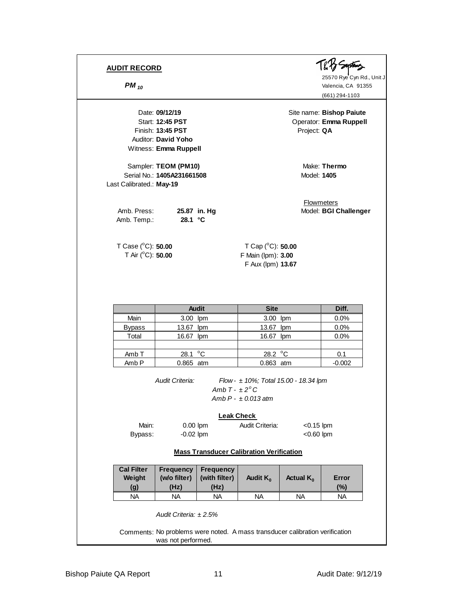Finish: 13:45 PST Project: QA Auditor: **David Yoho** Witness: **Emma Ruppell**

Sampler: **TEOM (PM10)** Make: Thermo Serial No.: **1405A231661508** Model: **1405** Last Calibrated.: **May-19**

Amb. Press: 25.87 in. Hg Model: BGI Challenger Amb. Temp.: **28.1 °C**

T Case (°C): **50.00** T Cap (°C): **50.00** 

25570 Rye Cyn Rd., Unit J **PM** <sub>10</sub> Valencia, CA 91355 (661) 294-1103

Date: **09/12/19** Site name: **Bishop Paiute** Start: **12:45 PST** Operator: **Emma Ruppell** 

**Flowmeters** 

T Air (<sup>o</sup>C): **50.00** F Main (lpm): **3.00** F Aux (lpm) **13.67**

|                  | <b>Audit</b>     | <b>Site</b>      | Diff.    |
|------------------|------------------|------------------|----------|
| Main             | 3.00 lpm         | 3.00 lpm         | 0.0%     |
| <b>Bypass</b>    | 13.67 lpm        | 13.67<br>lpm     | 0.0%     |
| Total            | 16.67 lpm        | 16.67 lpm        | 0.0%     |
|                  |                  |                  |          |
| Amb <sub>T</sub> | 28.1 $\degree$ C | 28.2 $\degree$ C | 0.1      |
| Amb <sub>P</sub> | 0.865 atm        | 0.863 atm        | $-0.002$ |

*Audit Criteria: Flow - ± 10%; Total 15.00 - 18.34 lpm Amb T - ± 2<sup>o</sup> C Amb P - ± 0.013 atm*

#### **Leak Check**

Main: 0.00 lpm Audit Criteria: <0.15 lpm Bypass: -0.02 lpm <0.60 lpm <0.60 lpm

#### **Mass Transducer Calibration Verification**

| (with filter)<br>Audit $K_0$<br>(Hz) | Actual $K_{0}$ | Error<br>(%) |
|--------------------------------------|----------------|--------------|
| <b>NA</b>                            | <b>NA</b>      | <b>NA</b>    |
|                                      |                |              |

Comments: No problems were noted. A mass transducer calibration verification was not performed.